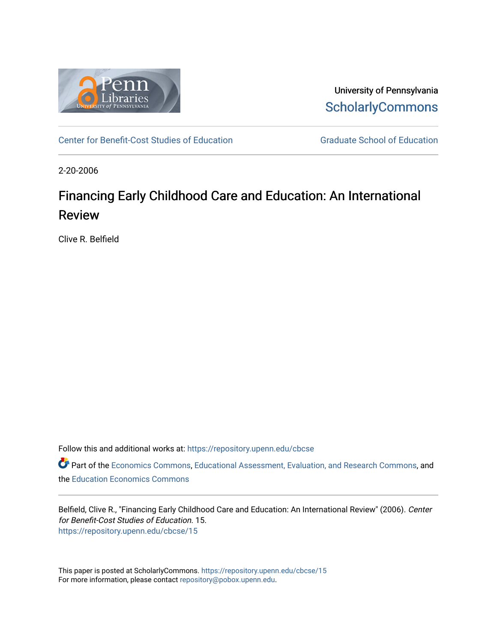

University of Pennsylvania **ScholarlyCommons** 

[Center for Benefit-Cost Studies of Education](https://repository.upenn.edu/cbcse) [Graduate School of Education](https://repository.upenn.edu/gse) 

2-20-2006

# Financing Early Childhood Care and Education: An International Review

Clive R. Belfield

Follow this and additional works at: [https://repository.upenn.edu/cbcse](https://repository.upenn.edu/cbcse?utm_source=repository.upenn.edu%2Fcbcse%2F15&utm_medium=PDF&utm_campaign=PDFCoverPages)

Part of the [Economics Commons](http://network.bepress.com/hgg/discipline/340?utm_source=repository.upenn.edu%2Fcbcse%2F15&utm_medium=PDF&utm_campaign=PDFCoverPages), [Educational Assessment, Evaluation, and Research Commons,](http://network.bepress.com/hgg/discipline/796?utm_source=repository.upenn.edu%2Fcbcse%2F15&utm_medium=PDF&utm_campaign=PDFCoverPages) and the [Education Economics Commons](http://network.bepress.com/hgg/discipline/1262?utm_source=repository.upenn.edu%2Fcbcse%2F15&utm_medium=PDF&utm_campaign=PDFCoverPages)

Belfield, Clive R., "Financing Early Childhood Care and Education: An International Review" (2006). Center for Benefit-Cost Studies of Education. 15. [https://repository.upenn.edu/cbcse/15](https://repository.upenn.edu/cbcse/15?utm_source=repository.upenn.edu%2Fcbcse%2F15&utm_medium=PDF&utm_campaign=PDFCoverPages) 

This paper is posted at ScholarlyCommons.<https://repository.upenn.edu/cbcse/15> For more information, please contact [repository@pobox.upenn.edu.](mailto:repository@pobox.upenn.edu)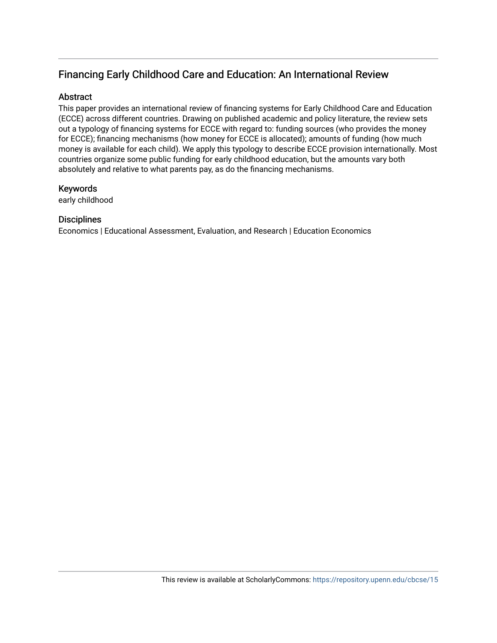## Financing Early Childhood Care and Education: An International Review

## Abstract

This paper provides an international review of financing systems for Early Childhood Care and Education (ECCE) across different countries. Drawing on published academic and policy literature, the review sets out a typology of financing systems for ECCE with regard to: funding sources (who provides the money for ECCE); financing mechanisms (how money for ECCE is allocated); amounts of funding (how much money is available for each child). We apply this typology to describe ECCE provision internationally. Most countries organize some public funding for early childhood education, but the amounts vary both absolutely and relative to what parents pay, as do the financing mechanisms.

### Keywords

early childhood

## **Disciplines**

Economics | Educational Assessment, Evaluation, and Research | Education Economics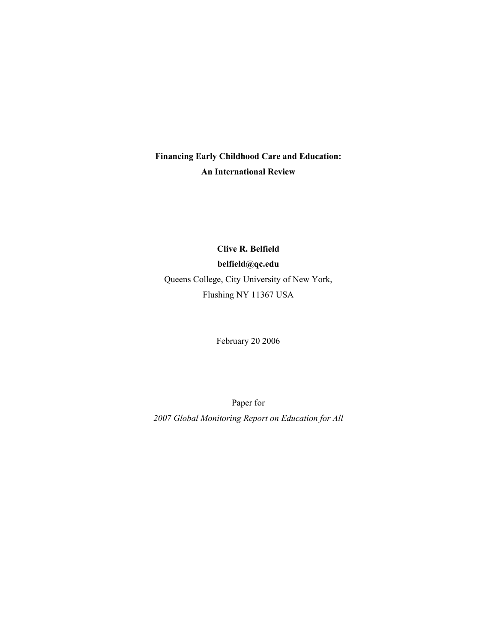## **Financing Early Childhood Care and Education: An International Review**

**Clive R. Belfield belfield@qc.edu**  Queens College, City University of New York, Flushing NY 11367 USA

February 20 2006

Paper for *2007 Global Monitoring Report on Education for All*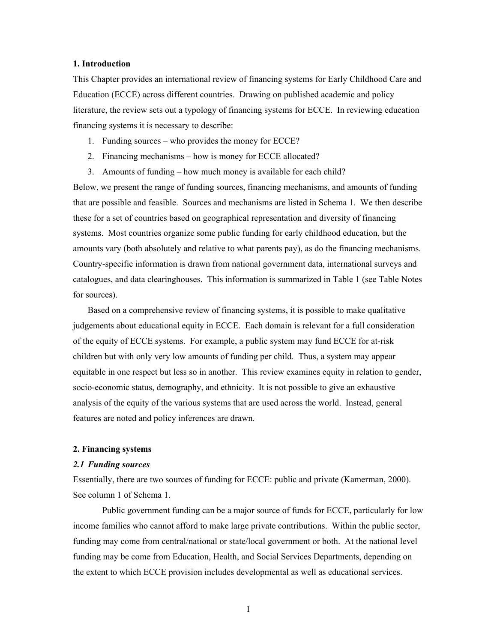#### **1. Introduction**

This Chapter provides an international review of financing systems for Early Childhood Care and Education (ECCE) across different countries. Drawing on published academic and policy literature, the review sets out a typology of financing systems for ECCE. In reviewing education financing systems it is necessary to describe:

- 1. Funding sources who provides the money for ECCE?
- 2. Financing mechanisms how is money for ECCE allocated?
- 3. Amounts of funding how much money is available for each child?

Below, we present the range of funding sources, financing mechanisms, and amounts of funding that are possible and feasible. Sources and mechanisms are listed in Schema 1. We then describe these for a set of countries based on geographical representation and diversity of financing systems. Most countries organize some public funding for early childhood education, but the amounts vary (both absolutely and relative to what parents pay), as do the financing mechanisms. Country-specific information is drawn from national government data, international surveys and catalogues, and data clearinghouses. This information is summarized in Table 1 (see Table Notes for sources).

 Based on a comprehensive review of financing systems, it is possible to make qualitative judgements about educational equity in ECCE. Each domain is relevant for a full consideration of the equity of ECCE systems. For example, a public system may fund ECCE for at-risk children but with only very low amounts of funding per child. Thus, a system may appear equitable in one respect but less so in another. This review examines equity in relation to gender, socio-economic status, demography, and ethnicity. It is not possible to give an exhaustive analysis of the equity of the various systems that are used across the world. Instead, general features are noted and policy inferences are drawn.

#### **2. Financing systems**

#### *2.1 Funding sources*

Essentially, there are two sources of funding for ECCE: public and private (Kamerman, 2000). See column 1 of Schema 1.

Public government funding can be a major source of funds for ECCE, particularly for low income families who cannot afford to make large private contributions. Within the public sector, funding may come from central/national or state/local government or both. At the national level funding may be come from Education, Health, and Social Services Departments, depending on the extent to which ECCE provision includes developmental as well as educational services.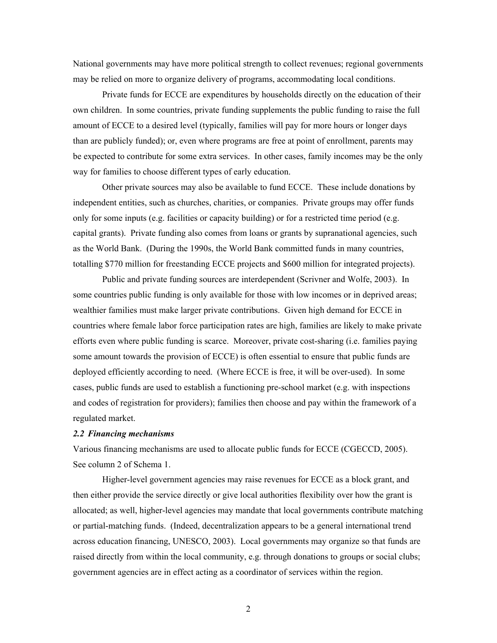National governments may have more political strength to collect revenues; regional governments may be relied on more to organize delivery of programs, accommodating local conditions.

Private funds for ECCE are expenditures by households directly on the education of their own children. In some countries, private funding supplements the public funding to raise the full amount of ECCE to a desired level (typically, families will pay for more hours or longer days than are publicly funded); or, even where programs are free at point of enrollment, parents may be expected to contribute for some extra services. In other cases, family incomes may be the only way for families to choose different types of early education.

Other private sources may also be available to fund ECCE. These include donations by independent entities, such as churches, charities, or companies. Private groups may offer funds only for some inputs (e.g. facilities or capacity building) or for a restricted time period (e.g. capital grants). Private funding also comes from loans or grants by supranational agencies, such as the World Bank. (During the 1990s, the World Bank committed funds in many countries, totalling \$770 million for freestanding ECCE projects and \$600 million for integrated projects).

Public and private funding sources are interdependent (Scrivner and Wolfe, 2003). In some countries public funding is only available for those with low incomes or in deprived areas; wealthier families must make larger private contributions. Given high demand for ECCE in countries where female labor force participation rates are high, families are likely to make private efforts even where public funding is scarce. Moreover, private cost-sharing (i.e. families paying some amount towards the provision of ECCE) is often essential to ensure that public funds are deployed efficiently according to need. (Where ECCE is free, it will be over-used). In some cases, public funds are used to establish a functioning pre-school market (e.g. with inspections and codes of registration for providers); families then choose and pay within the framework of a regulated market.

#### *2.2 Financing mechanisms*

Various financing mechanisms are used to allocate public funds for ECCE (CGECCD, 2005). See column 2 of Schema 1.

Higher-level government agencies may raise revenues for ECCE as a block grant, and then either provide the service directly or give local authorities flexibility over how the grant is allocated; as well, higher-level agencies may mandate that local governments contribute matching or partial-matching funds. (Indeed, decentralization appears to be a general international trend across education financing, UNESCO, 2003). Local governments may organize so that funds are raised directly from within the local community, e.g. through donations to groups or social clubs; government agencies are in effect acting as a coordinator of services within the region.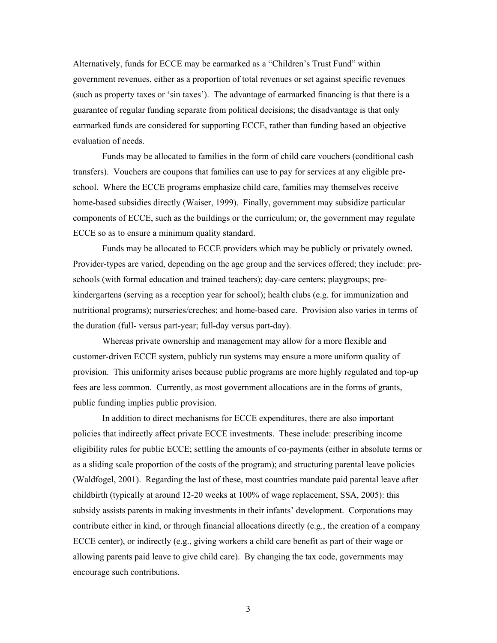Alternatively, funds for ECCE may be earmarked as a "Children's Trust Fund" within government revenues, either as a proportion of total revenues or set against specific revenues (such as property taxes or 'sin taxes'). The advantage of earmarked financing is that there is a guarantee of regular funding separate from political decisions; the disadvantage is that only earmarked funds are considered for supporting ECCE, rather than funding based an objective evaluation of needs.

 Funds may be allocated to families in the form of child care vouchers (conditional cash transfers). Vouchers are coupons that families can use to pay for services at any eligible preschool. Where the ECCE programs emphasize child care, families may themselves receive home-based subsidies directly (Waiser, 1999). Finally, government may subsidize particular components of ECCE, such as the buildings or the curriculum; or, the government may regulate ECCE so as to ensure a minimum quality standard.

Funds may be allocated to ECCE providers which may be publicly or privately owned. Provider-types are varied, depending on the age group and the services offered; they include: preschools (with formal education and trained teachers); day-care centers; playgroups; prekindergartens (serving as a reception year for school); health clubs (e.g. for immunization and nutritional programs); nurseries/creches; and home-based care. Provision also varies in terms of the duration (full- versus part-year; full-day versus part-day).

Whereas private ownership and management may allow for a more flexible and customer-driven ECCE system, publicly run systems may ensure a more uniform quality of provision. This uniformity arises because public programs are more highly regulated and top-up fees are less common. Currently, as most government allocations are in the forms of grants, public funding implies public provision.

In addition to direct mechanisms for ECCE expenditures, there are also important policies that indirectly affect private ECCE investments. These include: prescribing income eligibility rules for public ECCE; settling the amounts of co-payments (either in absolute terms or as a sliding scale proportion of the costs of the program); and structuring parental leave policies (Waldfogel, 2001). Regarding the last of these, most countries mandate paid parental leave after childbirth (typically at around 12-20 weeks at 100% of wage replacement, SSA, 2005): this subsidy assists parents in making investments in their infants' development. Corporations may contribute either in kind, or through financial allocations directly (e.g., the creation of a company ECCE center), or indirectly (e.g., giving workers a child care benefit as part of their wage or allowing parents paid leave to give child care). By changing the tax code, governments may encourage such contributions.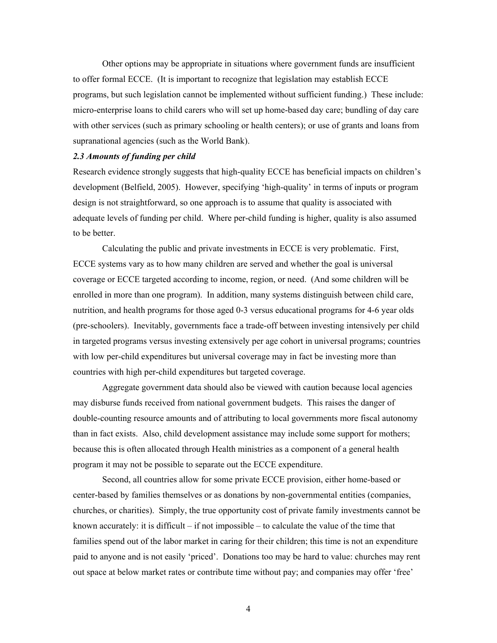Other options may be appropriate in situations where government funds are insufficient to offer formal ECCE. (It is important to recognize that legislation may establish ECCE programs, but such legislation cannot be implemented without sufficient funding.) These include: micro-enterprise loans to child carers who will set up home-based day care; bundling of day care with other services (such as primary schooling or health centers); or use of grants and loans from supranational agencies (such as the World Bank).

#### *2.3 Amounts of funding per child*

Research evidence strongly suggests that high-quality ECCE has beneficial impacts on children's development (Belfield, 2005). However, specifying 'high-quality' in terms of inputs or program design is not straightforward, so one approach is to assume that quality is associated with adequate levels of funding per child. Where per-child funding is higher, quality is also assumed to be better.

Calculating the public and private investments in ECCE is very problematic. First, ECCE systems vary as to how many children are served and whether the goal is universal coverage or ECCE targeted according to income, region, or need. (And some children will be enrolled in more than one program). In addition, many systems distinguish between child care, nutrition, and health programs for those aged 0-3 versus educational programs for 4-6 year olds (pre-schoolers). Inevitably, governments face a trade-off between investing intensively per child in targeted programs versus investing extensively per age cohort in universal programs; countries with low per-child expenditures but universal coverage may in fact be investing more than countries with high per-child expenditures but targeted coverage.

Aggregate government data should also be viewed with caution because local agencies may disburse funds received from national government budgets. This raises the danger of double-counting resource amounts and of attributing to local governments more fiscal autonomy than in fact exists. Also, child development assistance may include some support for mothers; because this is often allocated through Health ministries as a component of a general health program it may not be possible to separate out the ECCE expenditure.

Second, all countries allow for some private ECCE provision, either home-based or center-based by families themselves or as donations by non-governmental entities (companies, churches, or charities). Simply, the true opportunity cost of private family investments cannot be known accurately: it is difficult  $-$  if not impossible  $-$  to calculate the value of the time that families spend out of the labor market in caring for their children; this time is not an expenditure paid to anyone and is not easily 'priced'. Donations too may be hard to value: churches may rent out space at below market rates or contribute time without pay; and companies may offer 'free'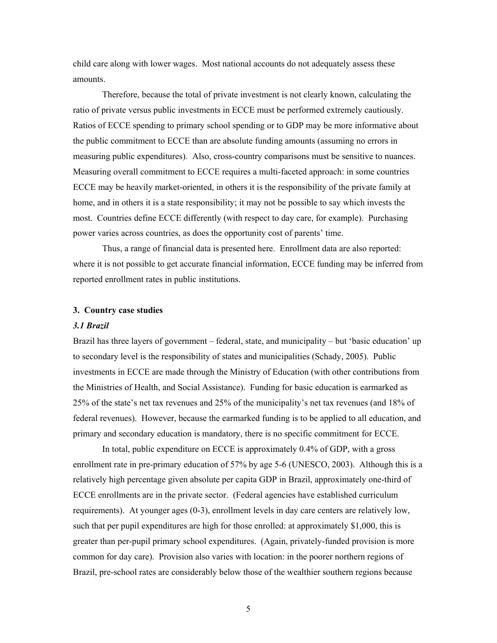child care along with lower wages. Most national accounts do not adequately assess these amounts.

Therefore, because the total of private investment is not clearly known, calculating the ratio of private versus public investments in ECCE must be performed extremely cautiously. Ratios of ECCE spending to primary school spending or to GDP may be more informative about the public commitment to ECCE than are absolute funding amounts (assuming no errors in measuring public expenditures). Also, cross-country comparisons must be sensitive to nuances. Measuring overall commitment to ECCE requires a multi-faceted approach: in some countries ECCE may be heavily market-oriented, in others it is the responsibility of the private family at home, and in others it is a state responsibility; it may not be possible to say which invests the most. Countries define ECCE differently (with respect to day care, for example). Purchasing power varies across countries, as does the opportunity cost of parents' time.

Thus, a range of financial data is presented here. Enrollment data are also reported: where it is not possible to get accurate financial information, ECCE funding may be inferred from reported enrollment rates in public institutions.

#### **3. Country case studies**

#### *3.1 Brazil*

Brazil has three layers of government – federal, state, and municipality – but 'basic education' up to secondary level is the responsibility of states and municipalities (Schady, 2005). Public investments in ECCE are made through the Ministry of Education (with other contributions from the Ministries of Health, and Social Assistance). Funding for basic education is earmarked as 25% of the state's net tax revenues and 25% of the municipality's net tax revenues (and 18% of federal revenues). However, because the earmarked funding is to be applied to all education, and primary and secondary education is mandatory, there is no specific commitment for ECCE.

In total, public expenditure on ECCE is approximately 0.4% of GDP, with a gross enrollment rate in pre-primary education of 57% by age 5-6 (UNESCO, 2003). Although this is a relatively high percentage given absolute per capita GDP in Brazil, approximately one-third of ECCE enrollments are in the private sector. (Federal agencies have established curriculum requirements). At younger ages (0-3), enrollment levels in day care centers are relatively low, such that per pupil expenditures are high for those enrolled: at approximately \$1,000, this is greater than per-pupil primary school expenditures. (Again, privately-funded provision is more common for day care). Provision also varies with location: in the poorer northern regions of Brazil, pre-school rates are considerably below those of the wealthier southern regions because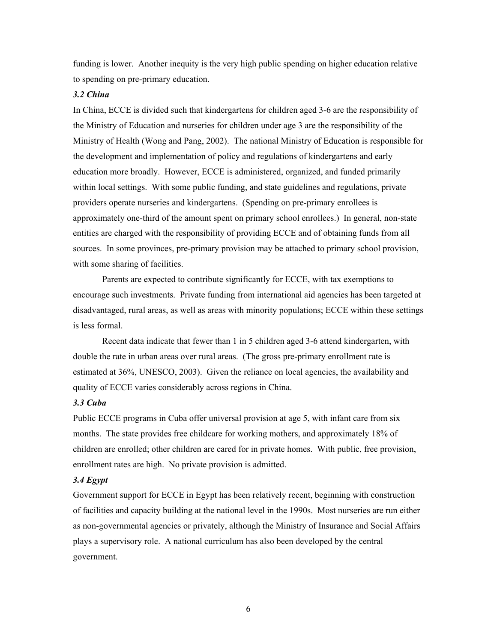funding is lower. Another inequity is the very high public spending on higher education relative to spending on pre-primary education.

#### *3.2 China*

In China, ECCE is divided such that kindergartens for children aged 3-6 are the responsibility of the Ministry of Education and nurseries for children under age 3 are the responsibility of the Ministry of Health (Wong and Pang, 2002). The national Ministry of Education is responsible for the development and implementation of policy and regulations of kindergartens and early education more broadly. However, ECCE is administered, organized, and funded primarily within local settings. With some public funding, and state guidelines and regulations, private providers operate nurseries and kindergartens. (Spending on pre-primary enrollees is approximately one-third of the amount spent on primary school enrollees.) In general, non-state entities are charged with the responsibility of providing ECCE and of obtaining funds from all sources. In some provinces, pre-primary provision may be attached to primary school provision, with some sharing of facilities.

Parents are expected to contribute significantly for ECCE, with tax exemptions to encourage such investments. Private funding from international aid agencies has been targeted at disadvantaged, rural areas, as well as areas with minority populations; ECCE within these settings is less formal.

Recent data indicate that fewer than 1 in 5 children aged 3-6 attend kindergarten, with double the rate in urban areas over rural areas. (The gross pre-primary enrollment rate is estimated at 36%, UNESCO, 2003). Given the reliance on local agencies, the availability and quality of ECCE varies considerably across regions in China.

#### *3.3 Cuba*

Public ECCE programs in Cuba offer universal provision at age 5, with infant care from six months. The state provides free childcare for working mothers, and approximately 18% of children are enrolled; other children are cared for in private homes. With public, free provision, enrollment rates are high. No private provision is admitted.

#### *3.4 Egypt*

Government support for ECCE in Egypt has been relatively recent, beginning with construction of facilities and capacity building at the national level in the 1990s. Most nurseries are run either as non-governmental agencies or privately, although the Ministry of Insurance and Social Affairs plays a supervisory role. A national curriculum has also been developed by the central government.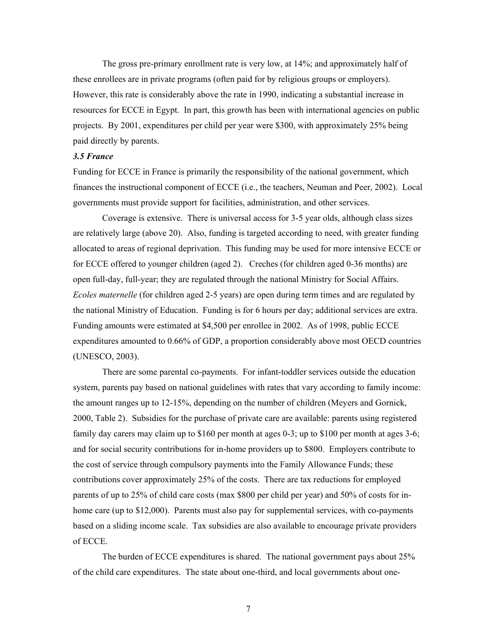The gross pre-primary enrollment rate is very low, at 14%; and approximately half of these enrollees are in private programs (often paid for by religious groups or employers). However, this rate is considerably above the rate in 1990, indicating a substantial increase in resources for ECCE in Egypt. In part, this growth has been with international agencies on public projects. By 2001, expenditures per child per year were \$300, with approximately 25% being paid directly by parents.

#### *3.5 France*

Funding for ECCE in France is primarily the responsibility of the national government, which finances the instructional component of ECCE (i.e., the teachers, Neuman and Peer, 2002). Local governments must provide support for facilities, administration, and other services.

Coverage is extensive. There is universal access for 3-5 year olds, although class sizes are relatively large (above 20). Also, funding is targeted according to need, with greater funding allocated to areas of regional deprivation. This funding may be used for more intensive ECCE or for ECCE offered to younger children (aged 2). Creches (for children aged 0-36 months) are open full-day, full-year; they are regulated through the national Ministry for Social Affairs. *Ecoles maternelle* (for children aged 2-5 years) are open during term times and are regulated by the national Ministry of Education. Funding is for 6 hours per day; additional services are extra. Funding amounts were estimated at \$4,500 per enrollee in 2002. As of 1998, public ECCE expenditures amounted to 0.66% of GDP, a proportion considerably above most OECD countries (UNESCO, 2003).

 There are some parental co-payments. For infant-toddler services outside the education system, parents pay based on national guidelines with rates that vary according to family income: the amount ranges up to 12-15%, depending on the number of children (Meyers and Gornick, 2000, Table 2). Subsidies for the purchase of private care are available: parents using registered family day carers may claim up to \$160 per month at ages 0-3; up to \$100 per month at ages 3-6; and for social security contributions for in-home providers up to \$800. Employers contribute to the cost of service through compulsory payments into the Family Allowance Funds; these contributions cover approximately 25% of the costs. There are tax reductions for employed parents of up to 25% of child care costs (max \$800 per child per year) and 50% of costs for inhome care (up to \$12,000). Parents must also pay for supplemental services, with co-payments based on a sliding income scale. Tax subsidies are also available to encourage private providers of ECCE.

 The burden of ECCE expenditures is shared. The national government pays about 25% of the child care expenditures. The state about one-third, and local governments about one-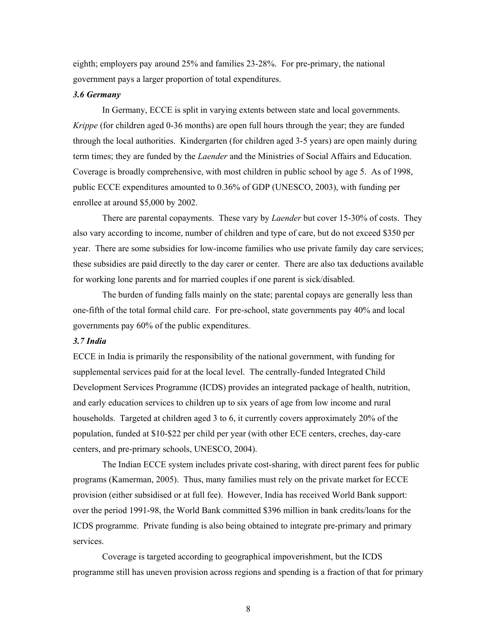eighth; employers pay around 25% and families 23-28%. For pre-primary, the national government pays a larger proportion of total expenditures.

#### *3.6 Germany*

In Germany, ECCE is split in varying extents between state and local governments. *Krippe* (for children aged 0-36 months) are open full hours through the year; they are funded through the local authorities. Kindergarten (for children aged 3-5 years) are open mainly during term times; they are funded by the *Laender* and the Ministries of Social Affairs and Education. Coverage is broadly comprehensive, with most children in public school by age 5. As of 1998, public ECCE expenditures amounted to 0.36% of GDP (UNESCO, 2003), with funding per enrollee at around \$5,000 by 2002.

There are parental copayments. These vary by *Laender* but cover 15-30% of costs. They also vary according to income, number of children and type of care, but do not exceed \$350 per year. There are some subsidies for low-income families who use private family day care services; these subsidies are paid directly to the day carer or center. There are also tax deductions available for working lone parents and for married couples if one parent is sick/disabled.

The burden of funding falls mainly on the state; parental copays are generally less than one-fifth of the total formal child care. For pre-school, state governments pay 40% and local governments pay 60% of the public expenditures.

#### *3.7 India*

ECCE in India is primarily the responsibility of the national government, with funding for supplemental services paid for at the local level. The centrally-funded Integrated Child Development Services Programme (ICDS) provides an integrated package of health, nutrition, and early education services to children up to six years of age from low income and rural households. Targeted at children aged 3 to 6, it currently covers approximately 20% of the population, funded at \$10-\$22 per child per year (with other ECE centers, creches, day-care centers, and pre-primary schools, UNESCO, 2004).

The Indian ECCE system includes private cost-sharing, with direct parent fees for public programs (Kamerman, 2005). Thus, many families must rely on the private market for ECCE provision (either subsidised or at full fee). However, India has received World Bank support: over the period 1991-98, the World Bank committed \$396 million in bank credits/loans for the ICDS programme. Private funding is also being obtained to integrate pre-primary and primary services.

Coverage is targeted according to geographical impoverishment, but the ICDS programme still has uneven provision across regions and spending is a fraction of that for primary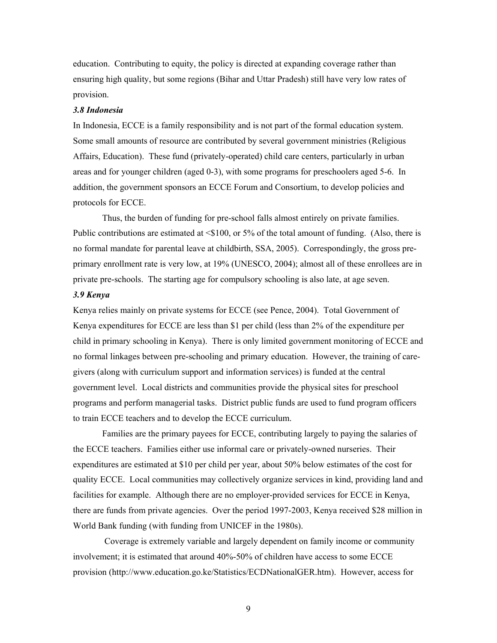education. Contributing to equity, the policy is directed at expanding coverage rather than ensuring high quality, but some regions (Bihar and Uttar Pradesh) still have very low rates of provision.

#### *3.8 Indonesia*

In Indonesia, ECCE is a family responsibility and is not part of the formal education system. Some small amounts of resource are contributed by several government ministries (Religious Affairs, Education). These fund (privately-operated) child care centers, particularly in urban areas and for younger children (aged 0-3), with some programs for preschoolers aged 5-6. In addition, the government sponsors an ECCE Forum and Consortium, to develop policies and protocols for ECCE.

Thus, the burden of funding for pre-school falls almost entirely on private families. Public contributions are estimated at <\$100, or 5% of the total amount of funding. (Also, there is no formal mandate for parental leave at childbirth, SSA, 2005). Correspondingly, the gross preprimary enrollment rate is very low, at 19% (UNESCO, 2004); almost all of these enrollees are in private pre-schools. The starting age for compulsory schooling is also late, at age seven.

### *3.9 Kenya*

Kenya relies mainly on private systems for ECCE (see Pence, 2004). Total Government of Kenya expenditures for ECCE are less than \$1 per child (less than 2% of the expenditure per child in primary schooling in Kenya). There is only limited government monitoring of ECCE and no formal linkages between pre-schooling and primary education. However, the training of caregivers (along with curriculum support and information services) is funded at the central government level. Local districts and communities provide the physical sites for preschool programs and perform managerial tasks. District public funds are used to fund program officers to train ECCE teachers and to develop the ECCE curriculum.

 Families are the primary payees for ECCE, contributing largely to paying the salaries of the ECCE teachers. Families either use informal care or privately-owned nurseries. Their expenditures are estimated at \$10 per child per year, about 50% below estimates of the cost for quality ECCE. Local communities may collectively organize services in kind, providing land and facilities for example. Although there are no employer-provided services for ECCE in Kenya, there are funds from private agencies. Over the period 1997-2003, Kenya received \$28 million in World Bank funding (with funding from UNICEF in the 1980s).

 Coverage is extremely variable and largely dependent on family income or community involvement; it is estimated that around 40%-50% of children have access to some ECCE provision (http://www.education.go.ke/Statistics/ECDNationalGER.htm). However, access for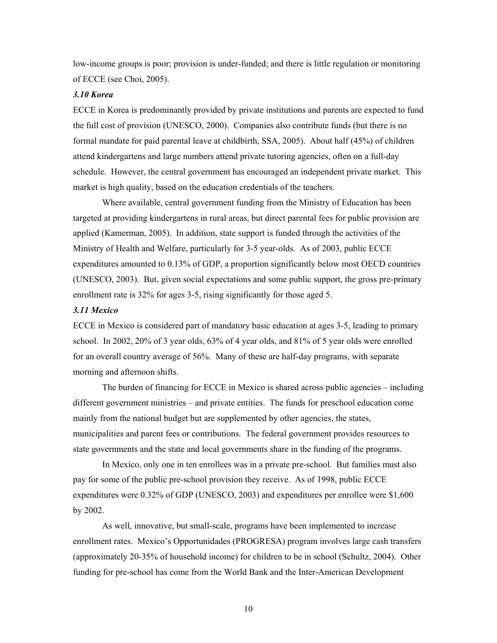low-income groups is poor; provision is under-funded; and there is little regulation or monitoring of ECCE (see Choi, 2005).

#### *3.10 Korea*

ECCE in Korea is predominantly provided by private institutions and parents are expected to fund the full cost of provision (UNESCO, 2000). Companies also contribute funds (but there is no formal mandate for paid parental leave at childbirth, SSA, 2005). About half (45%) of children attend kindergartens and large numbers attend private tutoring agencies, often on a full-day schedule. However, the central government has encouraged an independent private market. This market is high quality, based on the education credentials of the teachers.

Where available, central government funding from the Ministry of Education has been targeted at providing kindergartens in rural areas, but direct parental fees for public provision are applied (Kamerman, 2005). In addition, state support is funded through the activities of the Ministry of Health and Welfare, particularly for 3-5 year-olds. As of 2003, public ECCE expenditures amounted to 0.13% of GDP, a proportion significantly below most OECD countries (UNESCO, 2003). But, given social expectations and some public support, the gross pre-primary enrollment rate is 32% for ages 3-5, rising significantly for those aged 5.

#### *3.11 Mexico*

ECCE in Mexico is considered part of mandatory basic education at ages 3-5, leading to primary school. In 2002, 20% of 3 year olds, 63% of 4 year olds, and 81% of 5 year olds were enrolled for an overall country average of 56%. Many of these are half-day programs, with separate morning and afternoon shifts.

The burden of financing for ECCE in Mexico is shared across public agencies – including different government ministries – and private entities. The funds for preschool education come mainly from the national budget but are supplemented by other agencies, the states, municipalities and parent fees or contributions. The federal government provides resources to state governments and the state and local governments share in the funding of the programs.

In Mexico, only one in ten enrollees was in a private pre-school. But families must also pay for some of the public pre-school provision they receive. As of 1998, public ECCE expenditures were 0.32% of GDP (UNESCO, 2003) and expenditures per enrollee were \$1,600 by 2002.

As well, innovative, but small-scale, programs have been implemented to increase enrollment rates. Mexico's Opportunidades (PROGRESA) program involves large cash transfers (approximately 20-35% of household income) for children to be in school (Schultz, 2004). Other funding for pre-school has come from the World Bank and the Inter-American Development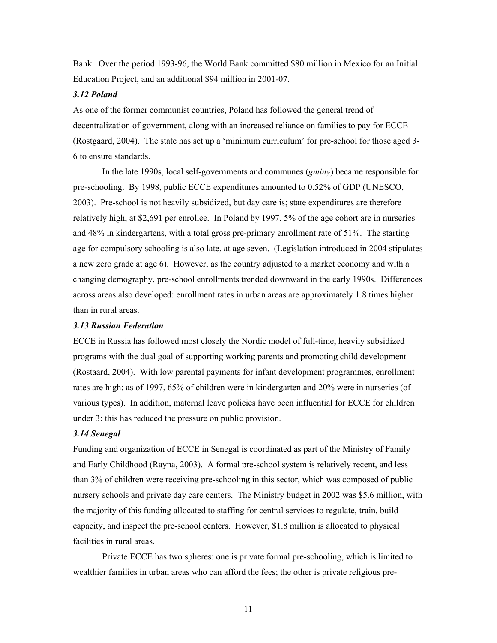Bank. Over the period 1993-96, the World Bank committed \$80 million in Mexico for an Initial Education Project, and an additional \$94 million in 2001-07.

#### *3.12 Poland*

As one of the former communist countries, Poland has followed the general trend of decentralization of government, along with an increased reliance on families to pay for ECCE (Rostgaard, 2004). The state has set up a 'minimum curriculum' for pre-school for those aged 3- 6 to ensure standards.

In the late 1990s, local self-governments and communes (*gminy*) became responsible for pre-schooling. By 1998, public ECCE expenditures amounted to 0.52% of GDP (UNESCO, 2003). Pre-school is not heavily subsidized, but day care is; state expenditures are therefore relatively high, at \$2,691 per enrollee. In Poland by 1997, 5% of the age cohort are in nurseries and 48% in kindergartens, with a total gross pre-primary enrollment rate of 51%. The starting age for compulsory schooling is also late, at age seven. (Legislation introduced in 2004 stipulates a new zero grade at age 6). However, as the country adjusted to a market economy and with a changing demography, pre-school enrollments trended downward in the early 1990s. Differences across areas also developed: enrollment rates in urban areas are approximately 1.8 times higher than in rural areas.

#### *3.13 Russian Federation*

ECCE in Russia has followed most closely the Nordic model of full-time, heavily subsidized programs with the dual goal of supporting working parents and promoting child development (Rostaard, 2004). With low parental payments for infant development programmes, enrollment rates are high: as of 1997, 65% of children were in kindergarten and 20% were in nurseries (of various types). In addition, maternal leave policies have been influential for ECCE for children under 3: this has reduced the pressure on public provision.

#### *3.14 Senegal*

Funding and organization of ECCE in Senegal is coordinated as part of the Ministry of Family and Early Childhood (Rayna, 2003). A formal pre-school system is relatively recent, and less than 3% of children were receiving pre-schooling in this sector, which was composed of public nursery schools and private day care centers. The Ministry budget in 2002 was \$5.6 million, with the majority of this funding allocated to staffing for central services to regulate, train, build capacity, and inspect the pre-school centers. However, \$1.8 million is allocated to physical facilities in rural areas.

 Private ECCE has two spheres: one is private formal pre-schooling, which is limited to wealthier families in urban areas who can afford the fees; the other is private religious pre-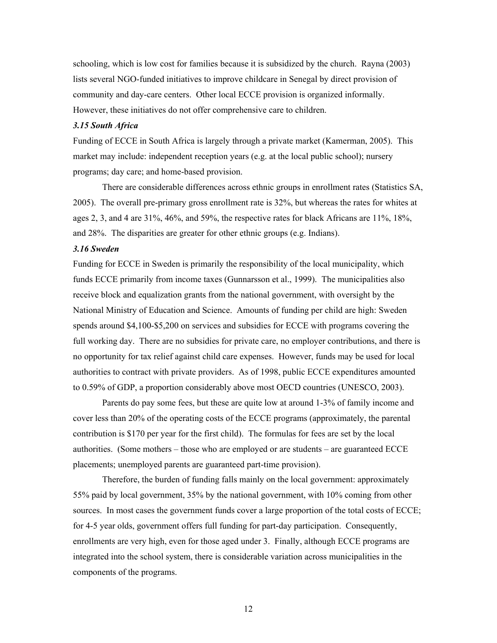schooling, which is low cost for families because it is subsidized by the church. Rayna (2003) lists several NGO-funded initiatives to improve childcare in Senegal by direct provision of community and day-care centers. Other local ECCE provision is organized informally. However, these initiatives do not offer comprehensive care to children.

#### *3.15 South Africa*

Funding of ECCE in South Africa is largely through a private market (Kamerman, 2005). This market may include: independent reception years (e.g. at the local public school); nursery programs; day care; and home-based provision.

There are considerable differences across ethnic groups in enrollment rates (Statistics SA, 2005). The overall pre-primary gross enrollment rate is 32%, but whereas the rates for whites at ages 2, 3, and 4 are 31%, 46%, and 59%, the respective rates for black Africans are 11%, 18%, and 28%. The disparities are greater for other ethnic groups (e.g. Indians).

#### *3.16 Sweden*

Funding for ECCE in Sweden is primarily the responsibility of the local municipality, which funds ECCE primarily from income taxes (Gunnarsson et al., 1999). The municipalities also receive block and equalization grants from the national government, with oversight by the National Ministry of Education and Science. Amounts of funding per child are high: Sweden spends around \$4,100-\$5,200 on services and subsidies for ECCE with programs covering the full working day. There are no subsidies for private care, no employer contributions, and there is no opportunity for tax relief against child care expenses. However, funds may be used for local authorities to contract with private providers. As of 1998, public ECCE expenditures amounted to 0.59% of GDP, a proportion considerably above most OECD countries (UNESCO, 2003).

Parents do pay some fees, but these are quite low at around 1-3% of family income and cover less than 20% of the operating costs of the ECCE programs (approximately, the parental contribution is \$170 per year for the first child). The formulas for fees are set by the local authorities. (Some mothers – those who are employed or are students – are guaranteed ECCE placements; unemployed parents are guaranteed part-time provision).

 Therefore, the burden of funding falls mainly on the local government: approximately 55% paid by local government, 35% by the national government, with 10% coming from other sources. In most cases the government funds cover a large proportion of the total costs of ECCE; for 4-5 year olds, government offers full funding for part-day participation. Consequently, enrollments are very high, even for those aged under 3. Finally, although ECCE programs are integrated into the school system, there is considerable variation across municipalities in the components of the programs.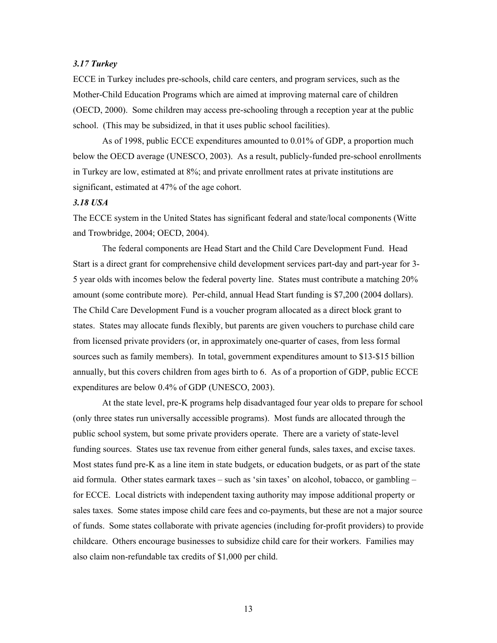#### *3.17 Turkey*

ECCE in Turkey includes pre-schools, child care centers, and program services, such as the Mother-Child Education Programs which are aimed at improving maternal care of children (OECD, 2000). Some children may access pre-schooling through a reception year at the public school. (This may be subsidized, in that it uses public school facilities).

As of 1998, public ECCE expenditures amounted to 0.01% of GDP, a proportion much below the OECD average (UNESCO, 2003). As a result, publicly-funded pre-school enrollments in Turkey are low, estimated at 8%; and private enrollment rates at private institutions are significant, estimated at 47% of the age cohort.

#### *3.18 USA*

The ECCE system in the United States has significant federal and state/local components (Witte and Trowbridge, 2004; OECD, 2004).

The federal components are Head Start and the Child Care Development Fund. Head Start is a direct grant for comprehensive child development services part-day and part-year for 3- 5 year olds with incomes below the federal poverty line. States must contribute a matching 20% amount (some contribute more). Per-child, annual Head Start funding is \$7,200 (2004 dollars). The Child Care Development Fund is a voucher program allocated as a direct block grant to states. States may allocate funds flexibly, but parents are given vouchers to purchase child care from licensed private providers (or, in approximately one-quarter of cases, from less formal sources such as family members). In total, government expenditures amount to \$13-\$15 billion annually, but this covers children from ages birth to 6. As of a proportion of GDP, public ECCE expenditures are below 0.4% of GDP (UNESCO, 2003).

At the state level, pre-K programs help disadvantaged four year olds to prepare for school (only three states run universally accessible programs). Most funds are allocated through the public school system, but some private providers operate. There are a variety of state-level funding sources. States use tax revenue from either general funds, sales taxes, and excise taxes. Most states fund pre-K as a line item in state budgets, or education budgets, or as part of the state aid formula. Other states earmark taxes – such as 'sin taxes' on alcohol, tobacco, or gambling – for ECCE. Local districts with independent taxing authority may impose additional property or sales taxes.Some states impose child care fees and co-payments, but these are not a major source of funds. Some states collaborate with private agencies (including for-profit providers) to provide childcare. Others encourage businesses to subsidize child care for their workers. Families may also claim non-refundable tax credits of \$1,000 per child.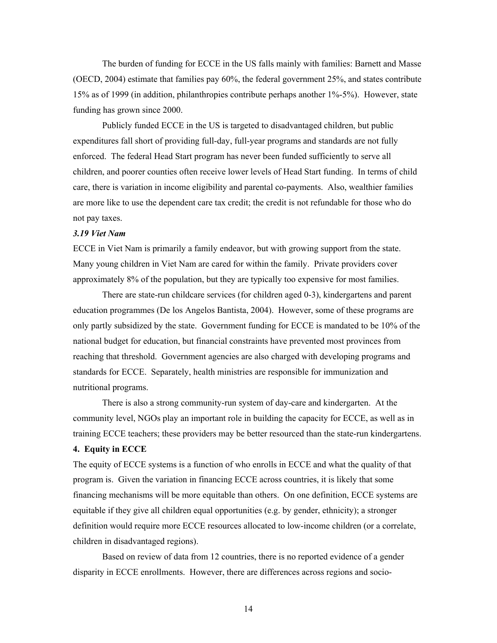The burden of funding for ECCE in the US falls mainly with families: Barnett and Masse (OECD, 2004) estimate that families pay 60%, the federal government 25%, and states contribute 15% as of 1999 (in addition, philanthropies contribute perhaps another 1%-5%). However, state funding has grown since 2000.

Publicly funded ECCE in the US is targeted to disadvantaged children, but public expenditures fall short of providing full-day, full-year programs and standards are not fully enforced. The federal Head Start program has never been funded sufficiently to serve all children, and poorer counties often receive lower levels of Head Start funding. In terms of child care, there is variation in income eligibility and parental co-payments. Also, wealthier families are more like to use the dependent care tax credit; the credit is not refundable for those who do not pay taxes.

#### *3.19 Viet Nam*

ECCE in Viet Nam is primarily a family endeavor, but with growing support from the state. Many young children in Viet Nam are cared for within the family. Private providers cover approximately 8% of the population, but they are typically too expensive for most families.

There are state-run childcare services (for children aged 0-3), kindergartens and parent education programmes (De los Angelos Bantista, 2004). However, some of these programs are only partly subsidized by the state. Government funding for ECCE is mandated to be 10% of the national budget for education, but financial constraints have prevented most provinces from reaching that threshold. Government agencies are also charged with developing programs and standards for ECCE. Separately, health ministries are responsible for immunization and nutritional programs.

There is also a strong community-run system of day-care and kindergarten. At the community level, NGOs play an important role in building the capacity for ECCE, as well as in training ECCE teachers; these providers may be better resourced than the state-run kindergartens. **4. Equity in ECCE** 

The equity of ECCE systems is a function of who enrolls in ECCE and what the quality of that program is. Given the variation in financing ECCE across countries, it is likely that some financing mechanisms will be more equitable than others. On one definition, ECCE systems are equitable if they give all children equal opportunities (e.g. by gender, ethnicity); a stronger definition would require more ECCE resources allocated to low-income children (or a correlate, children in disadvantaged regions).

Based on review of data from 12 countries, there is no reported evidence of a gender disparity in ECCE enrollments. However, there are differences across regions and socio-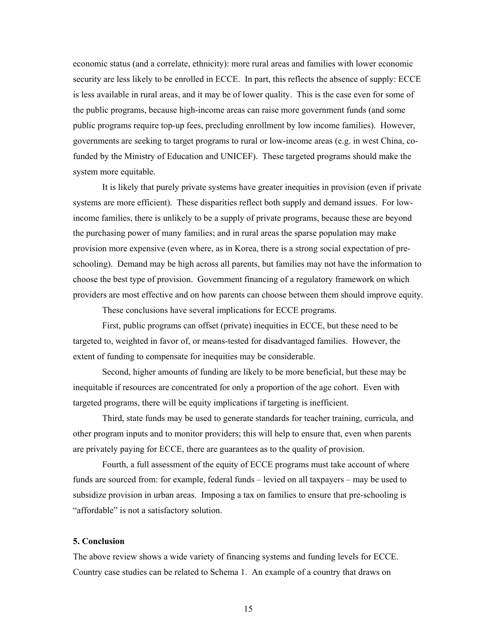economic status (and a correlate, ethnicity): more rural areas and families with lower economic security are less likely to be enrolled in ECCE. In part, this reflects the absence of supply: ECCE is less available in rural areas, and it may be of lower quality. This is the case even for some of the public programs, because high-income areas can raise more government funds (and some public programs require top-up fees, precluding enrollment by low income families). However, governments are seeking to target programs to rural or low-income areas (e.g. in west China, cofunded by the Ministry of Education and UNICEF). These targeted programs should make the system more equitable.

It is likely that purely private systems have greater inequities in provision (even if private systems are more efficient). These disparities reflect both supply and demand issues. For lowincome families, there is unlikely to be a supply of private programs, because these are beyond the purchasing power of many families; and in rural areas the sparse population may make provision more expensive (even where, as in Korea, there is a strong social expectation of preschooling). Demand may be high across all parents, but families may not have the information to choose the best type of provision. Government financing of a regulatory framework on which providers are most effective and on how parents can choose between them should improve equity.

These conclusions have several implications for ECCE programs.

First, public programs can offset (private) inequities in ECCE, but these need to be targeted to, weighted in favor of, or means-tested for disadvantaged families. However, the extent of funding to compensate for inequities may be considerable.

Second, higher amounts of funding are likely to be more beneficial, but these may be inequitable if resources are concentrated for only a proportion of the age cohort. Even with targeted programs, there will be equity implications if targeting is inefficient.

Third, state funds may be used to generate standards for teacher training, curricula, and other program inputs and to monitor providers; this will help to ensure that, even when parents are privately paying for ECCE, there are guarantees as to the quality of provision.

Fourth, a full assessment of the equity of ECCE programs must take account of where funds are sourced from: for example, federal funds – levied on all taxpayers – may be used to subsidize provision in urban areas. Imposing a tax on families to ensure that pre-schooling is "affordable" is not a satisfactory solution.

#### **5. Conclusion**

The above review shows a wide variety of financing systems and funding levels for ECCE. Country case studies can be related to Schema 1. An example of a country that draws on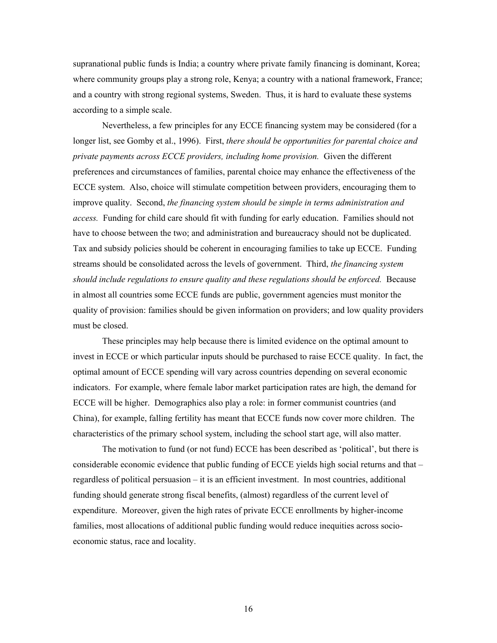supranational public funds is India; a country where private family financing is dominant, Korea; where community groups play a strong role, Kenya; a country with a national framework, France; and a country with strong regional systems, Sweden. Thus, it is hard to evaluate these systems according to a simple scale.

Nevertheless, a few principles for any ECCE financing system may be considered (for a longer list, see Gomby et al., 1996). First, *there should be opportunities for parental choice and private payments across ECCE providers, including home provision.* Given the different preferences and circumstances of families, parental choice may enhance the effectiveness of the ECCE system. Also, choice will stimulate competition between providers, encouraging them to improve quality. Second, *the financing system should be simple in terms administration and access.* Funding for child care should fit with funding for early education. Families should not have to choose between the two; and administration and bureaucracy should not be duplicated. Tax and subsidy policies should be coherent in encouraging families to take up ECCE. Funding streams should be consolidated across the levels of government. Third, *the financing system should include regulations to ensure quality and these regulations should be enforced.* Because in almost all countries some ECCE funds are public, government agencies must monitor the quality of provision: families should be given information on providers; and low quality providers must be closed.

These principles may help because there is limited evidence on the optimal amount to invest in ECCE or which particular inputs should be purchased to raise ECCE quality. In fact, the optimal amount of ECCE spending will vary across countries depending on several economic indicators. For example, where female labor market participation rates are high, the demand for ECCE will be higher. Demographics also play a role: in former communist countries (and China), for example, falling fertility has meant that ECCE funds now cover more children. The characteristics of the primary school system, including the school start age, will also matter.

The motivation to fund (or not fund) ECCE has been described as 'political', but there is considerable economic evidence that public funding of ECCE yields high social returns and that – regardless of political persuasion – it is an efficient investment. In most countries, additional funding should generate strong fiscal benefits, (almost) regardless of the current level of expenditure. Moreover, given the high rates of private ECCE enrollments by higher-income families, most allocations of additional public funding would reduce inequities across socioeconomic status, race and locality.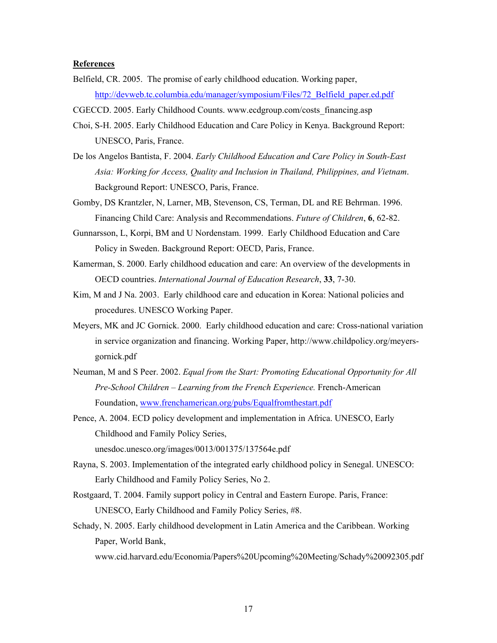#### **References**

- Belfield, CR. 2005. The promise of early childhood education. Working paper, http://devweb.tc.columbia.edu/manager/symposium/Files/72\_Belfield\_paper.ed.pdf
- CGECCD. 2005. Early Childhood Counts. www.ecdgroup.com/costs\_financing.asp
- Choi, S-H. 2005. Early Childhood Education and Care Policy in Kenya. Background Report: UNESCO, Paris, France.
- De los Angelos Bantista, F. 2004. *Early Childhood Education and Care Policy in South-East Asia: Working for Access, Quality and Inclusion in Thailand, Philippines, and Vietnam*. Background Report: UNESCO, Paris, France.
- Gomby, DS Krantzler, N, Larner, MB, Stevenson, CS, Terman, DL and RE Behrman. 1996. Financing Child Care: Analysis and Recommendations. *Future of Children*, **6**, 62-82.

Gunnarsson, L, Korpi, BM and U Nordenstam. 1999. Early Childhood Education and Care Policy in Sweden. Background Report: OECD, Paris, France.

- Kamerman, S. 2000. Early childhood education and care: An overview of the developments in OECD countries. *International Journal of Education Research*, **33**, 7-30.
- Kim, M and J Na. 2003. Early childhood care and education in Korea: National policies and procedures. UNESCO Working Paper.
- Meyers, MK and JC Gornick. 2000. Early childhood education and care: Cross-national variation in service organization and financing. Working Paper, http://www.childpolicy.org/meyersgornick.pdf
- Neuman, M and S Peer. 2002. *Equal from the Start: Promoting Educational Opportunity for All Pre-School Children – Learning from the French Experience.* French-American Foundation, www.frenchamerican.org/pubs/Equalfromthestart.pdf
- Pence, A. 2004. ECD policy development and implementation in Africa. UNESCO, Early Childhood and Family Policy Series, unesdoc.unesco.org/images/0013/001375/137564e.pdf
- Rayna, S. 2003. Implementation of the integrated early childhood policy in Senegal. UNESCO: Early Childhood and Family Policy Series, No 2.
- Rostgaard, T. 2004. Family support policy in Central and Eastern Europe. Paris, France: UNESCO, Early Childhood and Family Policy Series, #8.
- Schady, N. 2005. Early childhood development in Latin America and the Caribbean. Working Paper, World Bank,

www.cid.harvard.edu/Economia/Papers%20Upcoming%20Meeting/Schady%20092305.pdf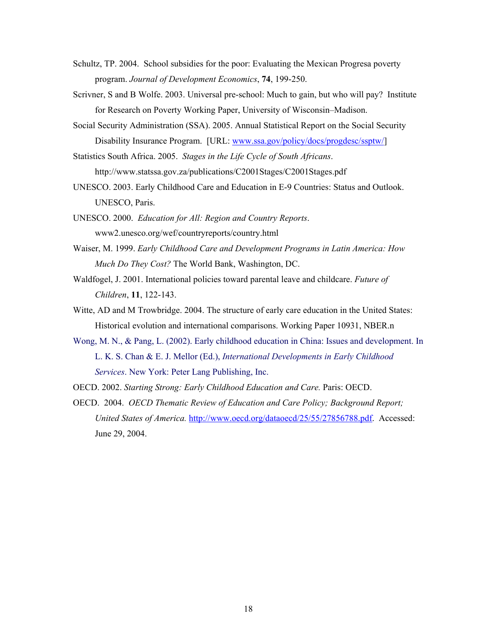- Schultz, TP. 2004. School subsidies for the poor: Evaluating the Mexican Progresa poverty program. *Journal of Development Economics*, **74**, 199-250.
- Scrivner, S and B Wolfe. 2003. Universal pre-school: Much to gain, but who will pay? Institute for Research on Poverty Working Paper, University of Wisconsin–Madison.
- Social Security Administration (SSA). 2005. Annual Statistical Report on the Social Security Disability Insurance Program. [URL: www.ssa.gov/policy/docs/progdesc/ssptw/]
- Statistics South Africa. 2005. *Stages in the Life Cycle of South Africans*. http://www.statssa.gov.za/publications/C2001Stages/C2001Stages.pdf
- UNESCO. 2003. Early Childhood Care and Education in E-9 Countries: Status and Outlook. UNESCO, Paris.
- UNESCO. 2000. *Education for All: Region and Country Reports*. www2.unesco.org/wef/countryreports/country.html
- Waiser, M. 1999. *Early Childhood Care and Development Programs in Latin America: How Much Do They Cost?* The World Bank, Washington, DC.
- Waldfogel, J. 2001. International policies toward parental leave and childcare. *Future of Children*, **11**, 122-143.
- Witte, AD and M Trowbridge. 2004. The structure of early care education in the United States: Historical evolution and international comparisons. Working Paper 10931, NBER.n
- Wong, M. N., & Pang, L. (2002). Early childhood education in China: Issues and development. In L. K. S. Chan & E. J. Mellor (Ed.), *International Developments in Early Childhood Services*. New York: Peter Lang Publishing, Inc.
- OECD. 2002. *Starting Strong: Early Childhood Education and Care.* Paris: OECD.
- OECD. 2004. *OECD Thematic Review of Education and Care Policy; Background Report; United States of America.* http://www.oecd.org/dataoecd/25/55/27856788.pdf. Accessed: June 29, 2004.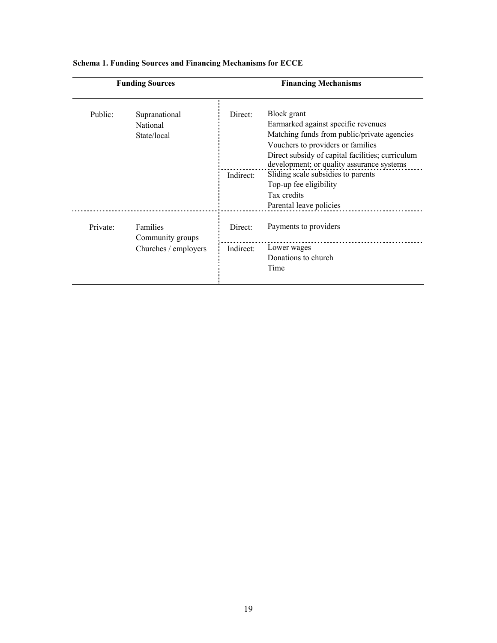| <b>Funding Sources</b> |                                                      | <b>Financing Mechanisms</b> |                                                                                                                                                                                                                                                                                                         |  |
|------------------------|------------------------------------------------------|-----------------------------|---------------------------------------------------------------------------------------------------------------------------------------------------------------------------------------------------------------------------------------------------------------------------------------------------------|--|
| Public:                | Supranational<br><b>National</b><br>State/local      | Direct:<br>Indirect:        | Block grant<br>Earmarked against specific revenues<br>Matching funds from public/private agencies<br>Vouchers to providers or families<br>Direct subsidy of capital facilities; curriculum<br>development; or quality assurance systems<br>Sliding scale subsidies to parents<br>Top-up fee eligibility |  |
|                        |                                                      |                             | Tax credits<br>Parental leave policies                                                                                                                                                                                                                                                                  |  |
| Private:               | Families<br>Community groups<br>Churches / employers | Direct:                     | Payments to providers                                                                                                                                                                                                                                                                                   |  |
|                        |                                                      | Indirect:                   | Lower wages<br>Donations to church<br>Time                                                                                                                                                                                                                                                              |  |

## **Schema 1. Funding Sources and Financing Mechanisms for ECCE**